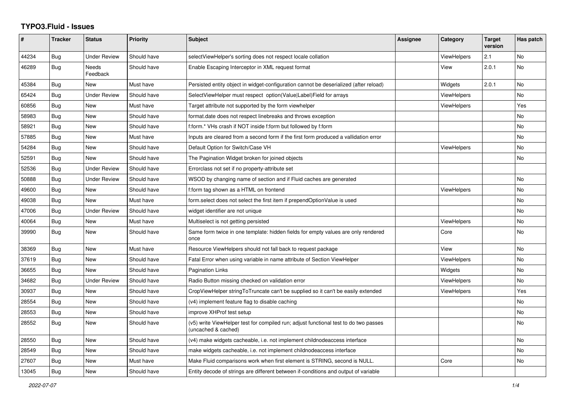## **TYPO3.Fluid - Issues**

| #     | <b>Tracker</b> | <b>Status</b>            | <b>Priority</b> | Subject                                                                                                     | Assignee | Category           | <b>Target</b><br>version | Has patch |
|-------|----------------|--------------------------|-----------------|-------------------------------------------------------------------------------------------------------------|----------|--------------------|--------------------------|-----------|
| 44234 | Bug            | <b>Under Review</b>      | Should have     | selectViewHelper's sorting does not respect locale collation                                                |          | <b>ViewHelpers</b> | 2.1                      | No        |
| 46289 | Bug            | <b>Needs</b><br>Feedback | Should have     | Enable Escaping Interceptor in XML request format                                                           |          | View               | 2.0.1                    | No        |
| 45384 | Bug            | <b>New</b>               | Must have       | Persisted entity object in widget-configuration cannot be deserialized (after reload)                       |          | Widgets            | 2.0.1                    | No        |
| 65424 | Bug            | <b>Under Review</b>      | Should have     | SelectViewHelper must respect option(Value Label)Field for arrays                                           |          | <b>ViewHelpers</b> |                          | No.       |
| 60856 | Bug            | New                      | Must have       | Target attribute not supported by the form viewhelper                                                       |          | <b>ViewHelpers</b> |                          | Yes       |
| 58983 | <b>Bug</b>     | <b>New</b>               | Should have     | format.date does not respect linebreaks and throws exception                                                |          |                    |                          | No        |
| 58921 | Bug            | New                      | Should have     | f:form.* VHs crash if NOT inside f:form but followed by f:form                                              |          |                    |                          | No        |
| 57885 | Bug            | New                      | Must have       | Inputs are cleared from a second form if the first form produced a vallidation error                        |          |                    |                          | No        |
| 54284 | Bug            | New                      | Should have     | Default Option for Switch/Case VH                                                                           |          | <b>ViewHelpers</b> |                          | No        |
| 52591 | Bug            | New                      | Should have     | The Pagination Widget broken for joined objects                                                             |          |                    |                          | No        |
| 52536 | Bug            | <b>Under Review</b>      | Should have     | Errorclass not set if no property-attribute set                                                             |          |                    |                          |           |
| 50888 | Bug            | <b>Under Review</b>      | Should have     | WSOD by changing name of section and if Fluid caches are generated                                          |          |                    |                          | No        |
| 49600 | Bug            | New                      | Should have     | f:form tag shown as a HTML on frontend                                                                      |          | <b>ViewHelpers</b> |                          | No        |
| 49038 | <b>Bug</b>     | <b>New</b>               | Must have       | form select does not select the first item if prependOptionValue is used                                    |          |                    |                          | No        |
| 47006 | Bug            | <b>Under Review</b>      | Should have     | widget identifier are not unique                                                                            |          |                    |                          | No        |
| 40064 | Bug            | New                      | Must have       | Multiselect is not getting persisted                                                                        |          | <b>ViewHelpers</b> |                          | No        |
| 39990 | Bug            | New                      | Should have     | Same form twice in one template: hidden fields for empty values are only rendered<br>once                   |          | Core               |                          | No        |
| 38369 | Bug            | <b>New</b>               | Must have       | Resource ViewHelpers should not fall back to request package                                                |          | View               |                          | No        |
| 37619 | Bug            | New                      | Should have     | Fatal Error when using variable in name attribute of Section ViewHelper                                     |          | <b>ViewHelpers</b> |                          | No        |
| 36655 | Bug            | New                      | Should have     | Pagination Links                                                                                            |          | Widgets            |                          | No        |
| 34682 | <b>Bug</b>     | Under Review             | Should have     | Radio Button missing checked on validation error                                                            |          | <b>ViewHelpers</b> |                          | No        |
| 30937 | Bug            | <b>New</b>               | Should have     | CropViewHelper stringToTruncate can't be supplied so it can't be easily extended                            |          | <b>ViewHelpers</b> |                          | Yes       |
| 28554 | Bug            | New                      | Should have     | (v4) implement feature flag to disable caching                                                              |          |                    |                          | No        |
| 28553 | Bug            | New                      | Should have     | improve XHProf test setup                                                                                   |          |                    |                          | No        |
| 28552 | Bug            | New                      | Should have     | (v5) write ViewHelper test for compiled run; adjust functional test to do two passes<br>(uncached & cached) |          |                    |                          | No        |
| 28550 | Bug            | New                      | Should have     | (v4) make widgets cacheable, i.e. not implement childnodeaccess interface                                   |          |                    |                          | No        |
| 28549 | Bug            | New                      | Should have     | make widgets cacheable, i.e. not implement childnodeaccess interface                                        |          |                    |                          | No.       |
| 27607 | Bug            | New                      | Must have       | Make Fluid comparisons work when first element is STRING, second is NULL.                                   |          | Core               |                          | No.       |
| 13045 | Bug            | <b>New</b>               | Should have     | Entity decode of strings are different between if-conditions and output of variable                         |          |                    |                          |           |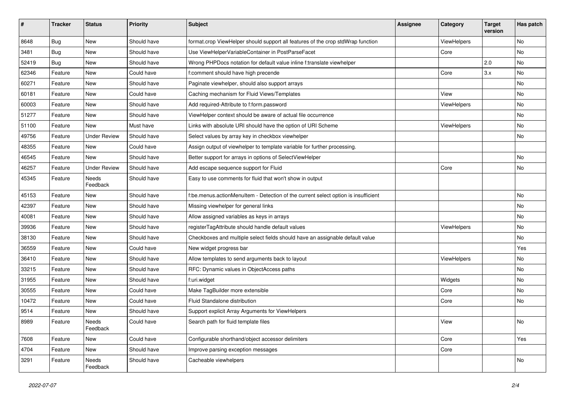| #     | <b>Tracker</b> | <b>Status</b>            | <b>Priority</b> | Subject                                                                            | <b>Assignee</b> | Category    | <b>Target</b><br>version | Has patch |
|-------|----------------|--------------------------|-----------------|------------------------------------------------------------------------------------|-----------------|-------------|--------------------------|-----------|
| 8648  | Bug            | New                      | Should have     | format.crop ViewHelper should support all features of the crop stdWrap function    |                 | ViewHelpers |                          | No        |
| 3481  | Bug            | New                      | Should have     | Use ViewHelperVariableContainer in PostParseFacet                                  |                 | Core        |                          | No        |
| 52419 | Bug            | New                      | Should have     | Wrong PHPDocs notation for default value inline f:translate viewhelper             |                 |             | 2.0                      | No        |
| 62346 | Feature        | New                      | Could have      | f:comment should have high precende                                                |                 | Core        | 3.x                      | No        |
| 60271 | Feature        | New                      | Should have     | Paginate viewhelper, should also support arrays                                    |                 |             |                          | No        |
| 60181 | Feature        | <b>New</b>               | Could have      | Caching mechanism for Fluid Views/Templates                                        |                 | View        |                          | No.       |
| 60003 | Feature        | New                      | Should have     | Add required-Attribute to f:form.password                                          |                 | ViewHelpers |                          | No        |
| 51277 | Feature        | New                      | Should have     | ViewHelper context should be aware of actual file occurrence                       |                 |             |                          | No        |
| 51100 | Feature        | New                      | Must have       | Links with absolute URI should have the option of URI Scheme                       |                 | ViewHelpers |                          | No        |
| 49756 | Feature        | <b>Under Review</b>      | Should have     | Select values by array key in checkbox viewhelper                                  |                 |             |                          | No        |
| 48355 | Feature        | New                      | Could have      | Assign output of viewhelper to template variable for further processing.           |                 |             |                          |           |
| 46545 | Feature        | New                      | Should have     | Better support for arrays in options of SelectViewHelper                           |                 |             |                          | No        |
| 46257 | Feature        | <b>Under Review</b>      | Should have     | Add escape sequence support for Fluid                                              |                 | Core        |                          | No        |
| 45345 | Feature        | <b>Needs</b><br>Feedback | Should have     | Easy to use comments for fluid that won't show in output                           |                 |             |                          |           |
| 45153 | Feature        | New                      | Should have     | f:be.menus.actionMenuItem - Detection of the current select option is insufficient |                 |             |                          | No        |
| 42397 | Feature        | New                      | Should have     | Missing viewhelper for general links                                               |                 |             |                          | No        |
| 40081 | Feature        | New                      | Should have     | Allow assigned variables as keys in arrays                                         |                 |             |                          | No        |
| 39936 | Feature        | New                      | Should have     | registerTagAttribute should handle default values                                  |                 | ViewHelpers |                          | No.       |
| 38130 | Feature        | New                      | Should have     | Checkboxes and multiple select fields should have an assignable default value      |                 |             |                          | No        |
| 36559 | Feature        | New                      | Could have      | New widget progress bar                                                            |                 |             |                          | Yes       |
| 36410 | Feature        | New                      | Should have     | Allow templates to send arguments back to layout                                   |                 | ViewHelpers |                          | No        |
| 33215 | Feature        | New                      | Should have     | RFC: Dynamic values in ObjectAccess paths                                          |                 |             |                          | No        |
| 31955 | Feature        | New                      | Should have     | f:uri.widget                                                                       |                 | Widgets     |                          | No        |
| 30555 | Feature        | New                      | Could have      | Make TagBuilder more extensible                                                    |                 | Core        |                          | No        |
| 10472 | Feature        | New                      | Could have      | Fluid Standalone distribution                                                      |                 | Core        |                          | No        |
| 9514  | Feature        | New                      | Should have     | Support explicit Array Arguments for ViewHelpers                                   |                 |             |                          |           |
| 8989  | Feature        | Needs<br>Feedback        | Could have      | Search path for fluid template files                                               |                 | View        |                          | No        |
| 7608  | Feature        | New                      | Could have      | Configurable shorthand/object accessor delimiters                                  |                 | Core        |                          | Yes       |
| 4704  | Feature        | New                      | Should have     | Improve parsing exception messages                                                 |                 | Core        |                          |           |
| 3291  | Feature        | Needs<br>Feedback        | Should have     | Cacheable viewhelpers                                                              |                 |             |                          | No        |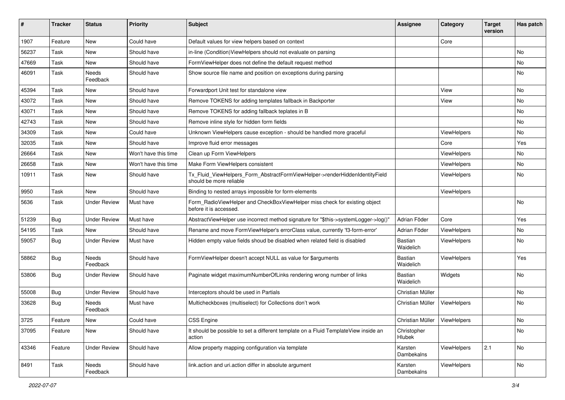| ∦     | <b>Tracker</b> | <b>Status</b>       | <b>Priority</b>      | Subject                                                                                                | <b>Assignee</b>                | Category           | <b>Target</b><br>version | Has patch |
|-------|----------------|---------------------|----------------------|--------------------------------------------------------------------------------------------------------|--------------------------------|--------------------|--------------------------|-----------|
| 1907  | Feature        | New                 | Could have           | Default values for view helpers based on context                                                       |                                | Core               |                          |           |
| 56237 | Task           | New                 | Should have          | in-line (Condition) View Helpers should not evaluate on parsing                                        |                                |                    |                          | No        |
| 47669 | Task           | New                 | Should have          | FormViewHelper does not define the default request method                                              |                                |                    |                          | No        |
| 46091 | Task           | Needs<br>Feedback   | Should have          | Show source file name and position on exceptions during parsing                                        |                                |                    |                          | No        |
| 45394 | Task           | New                 | Should have          | Forwardport Unit test for standalone view                                                              |                                | View               |                          | <b>No</b> |
| 43072 | Task           | New                 | Should have          | Remove TOKENS for adding templates fallback in Backporter                                              |                                | View               |                          | No        |
| 43071 | Task           | New                 | Should have          | Remove TOKENS for adding fallback teplates in B                                                        |                                |                    |                          | No        |
| 42743 | Task           | New                 | Should have          | Remove inline style for hidden form fields                                                             |                                |                    |                          | No        |
| 34309 | Task           | New                 | Could have           | Unknown ViewHelpers cause exception - should be handled more graceful                                  |                                | <b>ViewHelpers</b> |                          | No        |
| 32035 | Task           | New                 | Should have          | Improve fluid error messages                                                                           |                                | Core               |                          | Yes       |
| 26664 | Task           | New                 | Won't have this time | Clean up Form ViewHelpers                                                                              |                                | ViewHelpers        |                          | No        |
| 26658 | Task           | New                 | Won't have this time | Make Form ViewHelpers consistent                                                                       |                                | ViewHelpers        |                          | No        |
| 10911 | Task           | New                 | Should have          | Tx_Fluid_ViewHelpers_Form_AbstractFormViewHelper->renderHiddenIdentityField<br>should be more reliable |                                | ViewHelpers        |                          | No        |
| 9950  | Task           | New                 | Should have          | Binding to nested arrays impossible for form-elements                                                  |                                | ViewHelpers        |                          |           |
| 5636  | Task           | <b>Under Review</b> | Must have            | Form_RadioViewHelper and CheckBoxViewHelper miss check for existing object<br>before it is accessed.   |                                |                    |                          | <b>No</b> |
| 51239 | <b>Bug</b>     | <b>Under Review</b> | Must have            | AbstractViewHelper use incorrect method signature for "\$this->systemLogger->log()"                    | Adrian Föder                   | Core               |                          | Yes       |
| 54195 | Task           | New                 | Should have          | Rename and move FormViewHelper's errorClass value, currently 'f3-form-error'                           | Adrian Föder                   | ViewHelpers        |                          | No        |
| 59057 | Bug            | <b>Under Review</b> | Must have            | Hidden empty value fields shoud be disabled when related field is disabled                             | Bastian<br>Waidelich           | ViewHelpers        |                          | <b>No</b> |
| 58862 | Bug            | Needs<br>Feedback   | Should have          | FormViewHelper doesn't accept NULL as value for \$arguments                                            | <b>Bastian</b><br>Waidelich    | ViewHelpers        |                          | Yes       |
| 53806 | Bug            | Under Review        | Should have          | Paginate widget maximumNumberOfLinks rendering wrong number of links                                   | <b>Bastian</b><br>Waidelich    | Widgets            |                          | No        |
| 55008 | Bug            | <b>Under Review</b> | Should have          | Interceptors should be used in Partials                                                                | Christian Müller               |                    |                          | No        |
| 33628 | Bug            | Needs<br>Feedback   | Must have            | Multicheckboxes (multiselect) for Collections don't work                                               | Christian Müller               | ViewHelpers        |                          | <b>No</b> |
| 3725  | Feature        | New                 | Could have           | <b>CSS Engine</b>                                                                                      | Christian Müller   ViewHelpers |                    |                          | No        |
| 37095 | Feature        | New                 | Should have          | It should be possible to set a different template on a Fluid TemplateView inside an<br>action          | Christopher<br>Hlubek          |                    |                          | No        |
| 43346 | Feature        | <b>Under Review</b> | Should have          | Allow property mapping configuration via template                                                      | Karsten<br>Dambekalns          | ViewHelpers        | 2.1                      | No        |
| 8491  | Task           | Needs<br>Feedback   | Should have          | link.action and uri.action differ in absolute argument                                                 | Karsten<br>Dambekalns          | ViewHelpers        |                          | No        |